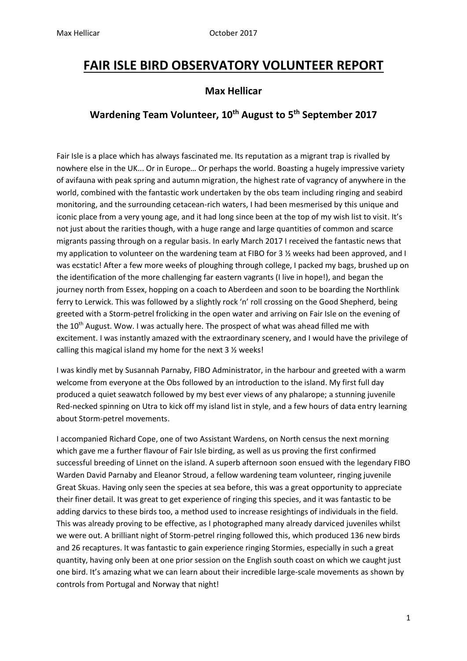## **FAIR ISLE BIRD OBSERVATORY VOLUNTEER REPORT**

## **Max Hellicar**

## **Wardening Team Volunteer, 10th August to 5th September 2017**

Fair Isle is a place which has always fascinated me. Its reputation as a migrant trap is rivalled by nowhere else in the UK... Or in Europe… Or perhaps the world. Boasting a hugely impressive variety of avifauna with peak spring and autumn migration, the highest rate of vagrancy of anywhere in the world, combined with the fantastic work undertaken by the obs team including ringing and seabird monitoring, and the surrounding cetacean-rich waters, I had been mesmerised by this unique and iconic place from a very young age, and it had long since been at the top of my wish list to visit. It's not just about the rarities though, with a huge range and large quantities of common and scarce migrants passing through on a regular basis. In early March 2017 I received the fantastic news that my application to volunteer on the wardening team at FIBO for 3  $\frac{1}{2}$  weeks had been approved, and I was ecstatic! After a few more weeks of ploughing through college, I packed my bags, brushed up on the identification of the more challenging far eastern vagrants (I live in hope!), and began the journey north from Essex, hopping on a coach to Aberdeen and soon to be boarding the Northlink ferry to Lerwick. This was followed by a slightly rock 'n' roll crossing on the Good Shepherd, being greeted with a Storm-petrel frolicking in the open water and arriving on Fair Isle on the evening of the 10<sup>th</sup> August. Wow. I was actually here. The prospect of what was ahead filled me with excitement. I was instantly amazed with the extraordinary scenery, and I would have the privilege of calling this magical island my home for the next 3 ½ weeks!

I was kindly met by Susannah Parnaby, FIBO Administrator, in the harbour and greeted with a warm welcome from everyone at the Obs followed by an introduction to the island. My first full day produced a quiet seawatch followed by my best ever views of any phalarope; a stunning juvenile Red-necked spinning on Utra to kick off my island list in style, and a few hours of data entry learning about Storm-petrel movements.

I accompanied Richard Cope, one of two Assistant Wardens, on North census the next morning which gave me a further flavour of Fair Isle birding, as well as us proving the first confirmed successful breeding of Linnet on the island. A superb afternoon soon ensued with the legendary FIBO Warden David Parnaby and Eleanor Stroud, a fellow wardening team volunteer, ringing juvenile Great Skuas. Having only seen the species at sea before, this was a great opportunity to appreciate their finer detail. It was great to get experience of ringing this species, and it was fantastic to be adding darvics to these birds too, a method used to increase resightings of individuals in the field. This was already proving to be effective, as I photographed many already darviced juveniles whilst we were out. A brilliant night of Storm-petrel ringing followed this, which produced 136 new birds and 26 recaptures. It was fantastic to gain experience ringing Stormies, especially in such a great quantity, having only been at one prior session on the English south coast on which we caught just one bird. It's amazing what we can learn about their incredible large-scale movements as shown by controls from Portugal and Norway that night!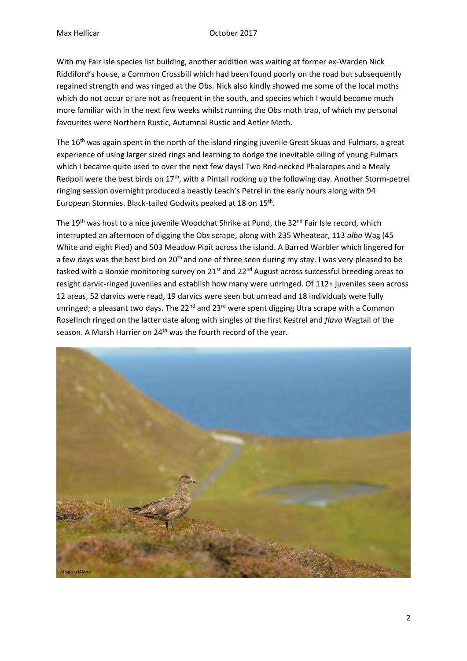With my Fair Isle species list building, another addition was waiting at former ex-Warden Nick Riddiford's house, a Common Crossbill which had been found poorly on the road but subsequently regained strength and was ringed at the Obs. Nick also kindly showed me some of the local moths which do not occur or are not as frequent in the south, and species which I would become much more familiar with in the next few weeks whilst running the Obs moth trap, of which my personal favourites were Northern Rustic, Autumnal Rustic and Antler Moth.

The 16<sup>th</sup> was again spent in the north of the island ringing juvenile Great Skuas and Fulmars, a great experience of using larger sized rings and learning to dodge the inevitable oiling of young Fulmars which I became quite used to over the next few days! Two Red-necked Phalaropes and a Mealy Redpoll were the best birds on 17<sup>th</sup>, with a Pintail rocking up the following day. Another Storm-petrel ringing session overnight produced a beastly Leach's Petrel in the early hours along with 94 European Stormies. Black-tailed Godwits peaked at 18 on 15<sup>th</sup>.

The 19<sup>th</sup> was host to a nice juvenile Woodchat Shrike at Pund, the 32<sup>nd</sup> Fair Isle record, which interrupted an afternoon of digging the Obs scrape, along with 235 Wheatear, 113 *alba* Wag (45 White and eight Pied) and 503 Meadow Pipit across the island. A Barred Warbler which lingered for a few days was the best bird on 20<sup>th</sup> and one of three seen during my stay. I was very pleased to be tasked with a Bonxie monitoring survey on  $21^{st}$  and  $22^{nd}$  August across successful breeding areas to resight darvic-ringed juveniles and establish how many were unringed. Of 112+ juveniles seen across 12 areas, 52 darvics were read, 19 darvics were seen but unread and 18 individuals were fully unringed; a pleasant two days. The  $22^{nd}$  and  $23^{rd}$  were spent digging Utra scrape with a Common Rosefinch ringed on the latter date along with singles of the first Kestrel and *flava* Wagtail of the season. A Marsh Harrier on 24<sup>th</sup> was the fourth record of the year.

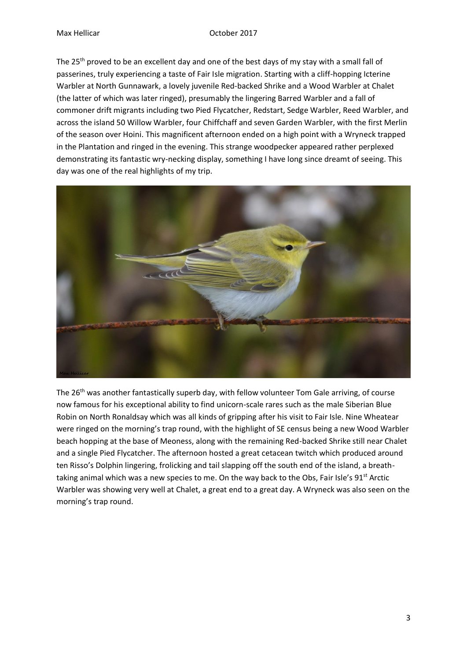The 25<sup>th</sup> proved to be an excellent day and one of the best days of my stay with a small fall of passerines, truly experiencing a taste of Fair Isle migration. Starting with a cliff-hopping Icterine Warbler at North Gunnawark, a lovely juvenile Red-backed Shrike and a Wood Warbler at Chalet (the latter of which was later ringed), presumably the lingering Barred Warbler and a fall of commoner drift migrants including two Pied Flycatcher, Redstart, Sedge Warbler, Reed Warbler, and across the island 50 Willow Warbler, four Chiffchaff and seven Garden Warbler, with the first Merlin of the season over Hoini. This magnificent afternoon ended on a high point with a Wryneck trapped in the Plantation and ringed in the evening. This strange woodpecker appeared rather perplexed demonstrating its fantastic wry-necking display, something I have long since dreamt of seeing. This day was one of the real highlights of my trip.



The 26th was another fantastically superb day, with fellow volunteer Tom Gale arriving, of course now famous for his exceptional ability to find unicorn-scale rares such as the male Siberian Blue Robin on North Ronaldsay which was all kinds of gripping after his visit to Fair Isle. Nine Wheatear were ringed on the morning's trap round, with the highlight of SE census being a new Wood Warbler beach hopping at the base of Meoness, along with the remaining Red-backed Shrike still near Chalet and a single Pied Flycatcher. The afternoon hosted a great cetacean twitch which produced around ten Risso's Dolphin lingering, frolicking and tail slapping off the south end of the island, a breathtaking animal which was a new species to me. On the way back to the Obs, Fair Isle's 91<sup>st</sup> Arctic Warbler was showing very well at Chalet, a great end to a great day. A Wryneck was also seen on the morning's trap round.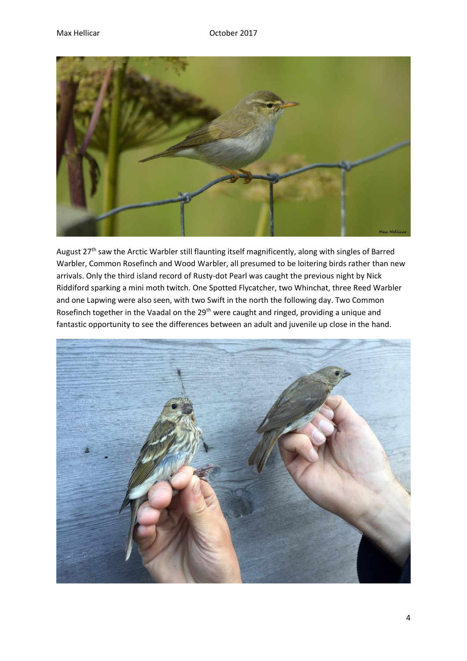

August 27<sup>th</sup> saw the Arctic Warbler still flaunting itself magnificently, along with singles of Barred Warbler, Common Rosefinch and Wood Warbler, all presumed to be loitering birds rather than new arrivals. Only the third island record of Rusty-dot Pearl was caught the previous night by Nick Riddiford sparking a mini moth twitch. One Spotted Flycatcher, two Whinchat, three Reed Warbler and one Lapwing were also seen, with two Swift in the north the following day. Two Common Rosefinch together in the Vaadal on the 29<sup>th</sup> were caught and ringed, providing a unique and fantastic opportunity to see the differences between an adult and juvenile up close in the hand.

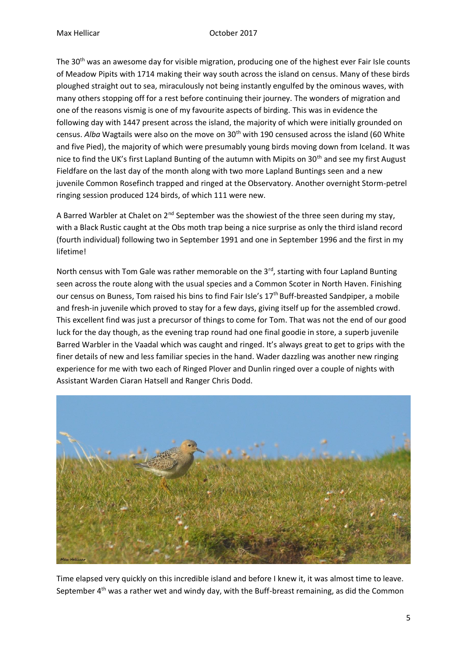The 30<sup>th</sup> was an awesome day for visible migration, producing one of the highest ever Fair Isle counts of Meadow Pipits with 1714 making their way south across the island on census. Many of these birds ploughed straight out to sea, miraculously not being instantly engulfed by the ominous waves, with many others stopping off for a rest before continuing their journey. The wonders of migration and one of the reasons vismig is one of my favourite aspects of birding. This was in evidence the following day with 1447 present across the island, the majority of which were initially grounded on census. *Alba* Wagtails were also on the move on 30<sup>th</sup> with 190 censused across the island (60 White and five Pied), the majority of which were presumably young birds moving down from Iceland. It was nice to find the UK's first Lapland Bunting of the autumn with Mipits on 30<sup>th</sup> and see my first August Fieldfare on the last day of the month along with two more Lapland Buntings seen and a new juvenile Common Rosefinch trapped and ringed at the Observatory. Another overnight Storm-petrel ringing session produced 124 birds, of which 111 were new.

A Barred Warbler at Chalet on  $2^{nd}$  September was the showiest of the three seen during my stay, with a Black Rustic caught at the Obs moth trap being a nice surprise as only the third island record (fourth individual) following two in September 1991 and one in September 1996 and the first in my lifetime!

North census with Tom Gale was rather memorable on the  $3<sup>rd</sup>$ , starting with four Lapland Bunting seen across the route along with the usual species and a Common Scoter in North Haven. Finishing our census on Buness, Tom raised his bins to find Fair Isle's 17<sup>th</sup> Buff-breasted Sandpiper, a mobile and fresh-in juvenile which proved to stay for a few days, giving itself up for the assembled crowd. This excellent find was just a precursor of things to come for Tom. That was not the end of our good luck for the day though, as the evening trap round had one final goodie in store, a superb juvenile Barred Warbler in the Vaadal which was caught and ringed. It's always great to get to grips with the finer details of new and less familiar species in the hand. Wader dazzling was another new ringing experience for me with two each of Ringed Plover and Dunlin ringed over a couple of nights with Assistant Warden Ciaran Hatsell and Ranger Chris Dodd.



Time elapsed very quickly on this incredible island and before I knew it, it was almost time to leave. September  $4<sup>th</sup>$  was a rather wet and windy day, with the Buff-breast remaining, as did the Common